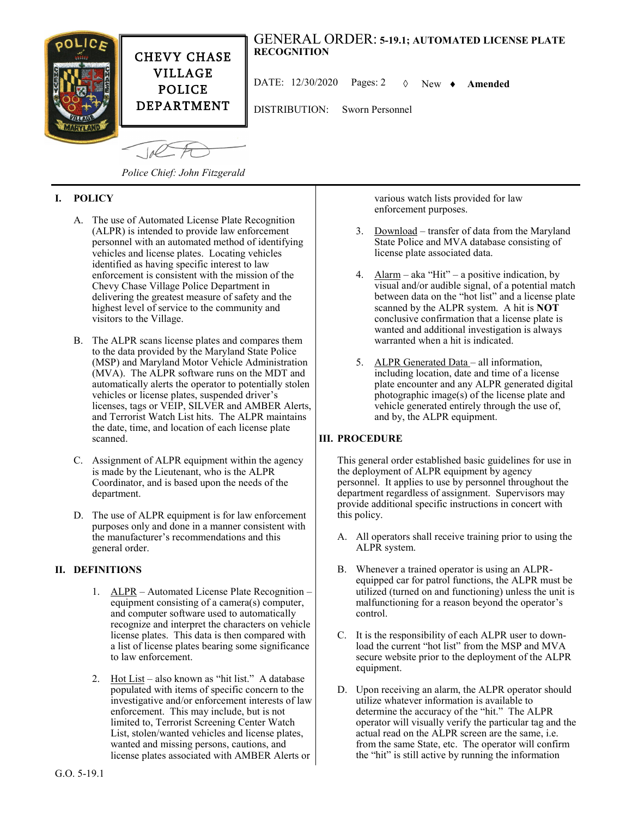

*Police Chief: John Fitzgerald*

# **I. POLICY**

- A. The use of Automated License Plate Recognition (ALPR) is intended to provide law enforcement personnel with an automated method of identifying vehicles and license plates. Locating vehicles identified as having specific interest to law enforcement is consistent with the mission of the Chevy Chase Village Police Department in delivering the greatest measure of safety and the highest level of service to the community and visitors to the Village.
- B. The ALPR scans license plates and compares them to the data provided by the Maryland State Police (MSP) and Maryland Motor Vehicle Administration (MVA). The ALPR software runs on the MDT and automatically alerts the operator to potentially stolen vehicles or license plates, suspended driver's licenses, tags or VEIP, SILVER and AMBER Alerts, and Terrorist Watch List hits. The ALPR maintains the date, time, and location of each license plate scanned.
- C. Assignment of ALPR equipment within the agency is made by the Lieutenant, who is the ALPR Coordinator, and is based upon the needs of the department.
- D. The use of ALPR equipment is for law enforcement purposes only and done in a manner consistent with the manufacturer's recommendations and this general order.

## **II. DEFINITIONS**

- 1. ALPR Automated License Plate Recognition equipment consisting of a camera(s) computer, and computer software used to automatically recognize and interpret the characters on vehicle license plates. This data is then compared with a list of license plates bearing some significance to law enforcement.
- 2. Hot List also known as "hit list." A database populated with items of specific concern to the investigative and/or enforcement interests of law enforcement. This may include, but is not limited to, Terrorist Screening Center Watch List, stolen/wanted vehicles and license plates, wanted and missing persons, cautions, and license plates associated with AMBER Alerts or

various watch lists provided for law enforcement purposes.

- 3. Download transfer of data from the Maryland State Police and MVA database consisting of license plate associated data.
- 4.  $\Delta \text{larm}$  aka "Hit" a positive indication, by visual and/or audible signal, of a potential match between data on the "hot list" and a license plate scanned by the ALPR system. A hit is **NOT** conclusive confirmation that a license plate is wanted and additional investigation is always warranted when a hit is indicated.
- 5. ALPR Generated Data all information, including location, date and time of a license plate encounter and any ALPR generated digital photographic image(s) of the license plate and vehicle generated entirely through the use of, and by, the ALPR equipment.

## **III. PROCEDURE**

This general order established basic guidelines for use in the deployment of ALPR equipment by agency personnel. It applies to use by personnel throughout the department regardless of assignment. Supervisors may provide additional specific instructions in concert with this policy.

- A. All operators shall receive training prior to using the ALPR system.
- B. Whenever a trained operator is using an ALPRequipped car for patrol functions, the ALPR must be utilized (turned on and functioning) unless the unit is malfunctioning for a reason beyond the operator's control.
- C. It is the responsibility of each ALPR user to download the current "hot list" from the MSP and MVA secure website prior to the deployment of the ALPR equipment.
- D. Upon receiving an alarm, the ALPR operator should utilize whatever information is available to determine the accuracy of the "hit." The ALPR operator will visually verify the particular tag and the actual read on the ALPR screen are the same, i.e. from the same State, etc. The operator will confirm the "hit" is still active by running the information

#### G.O. 5-19.1